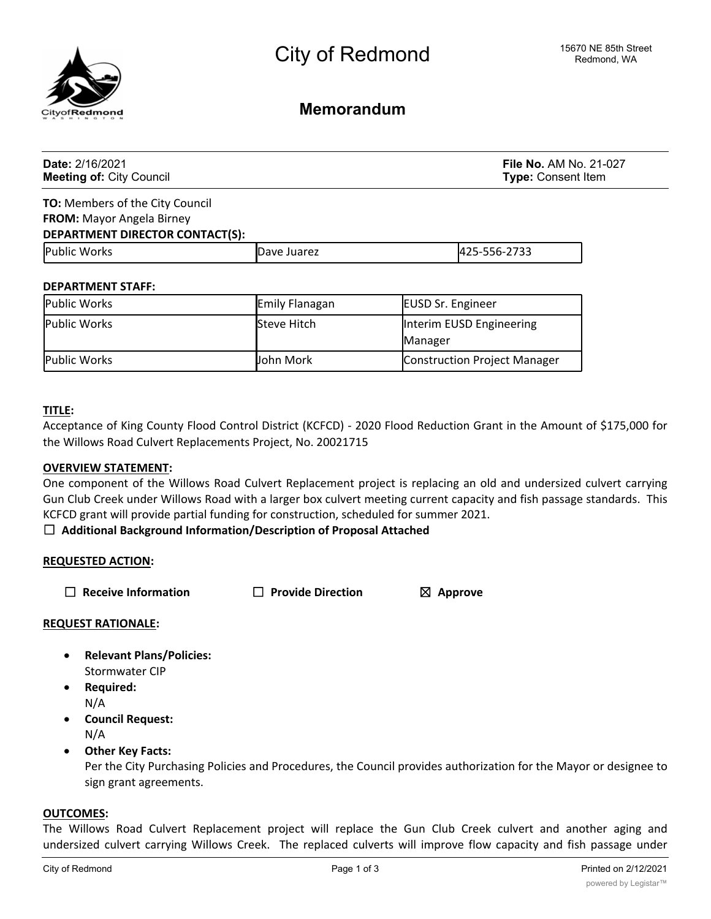

**Memorandum**

| <b>Date: 2/16/2021</b><br><b>Meeting of: City Council</b> |                | <b>File No. AM No. 21-027</b><br><b>Type: Consent Item</b> |  |
|-----------------------------------------------------------|----------------|------------------------------------------------------------|--|
| <b>TO:</b> Members of the City Council                    |                |                                                            |  |
| <b>FROM:</b> Mayor Angela Birney                          |                |                                                            |  |
| <b>DEPARTMENT DIRECTOR CONTACT(S):</b>                    |                |                                                            |  |
| <b>Public Works</b>                                       | Dave Juarez    | 425-556-2733                                               |  |
| <b>DEPARTMENT STAFF:</b>                                  |                |                                                            |  |
| Public Works                                              | Emily Flanagan | <b>EUSD Sr. Engineer</b>                                   |  |
| Public Works                                              | Steve Hitch    | Interim EUSD Engineering                                   |  |

| Public Works | Steve Hitch      | Interim EUSD Engineering     |
|--------------|------------------|------------------------------|
|              |                  | <b>Manager</b>               |
| Public Works | <b>John Mork</b> | Construction Project Manager |

# **TITLE:**

Acceptance of King County Flood Control District (KCFCD) - 2020 Flood Reduction Grant in the Amount of \$175,000 for the Willows Road Culvert Replacements Project, No. 20021715

#### **OVERVIEW STATEMENT:**

One component of the Willows Road Culvert Replacement project is replacing an old and undersized culvert carrying Gun Club Creek under Willows Road with a larger box culvert meeting current capacity and fish passage standards. This KCFCD grant will provide partial funding for construction, scheduled for summer 2021.

# ☐ **Additional Background Information/Description of Proposal Attached**

# **REQUESTED ACTION:**

☐ **Receive Information** ☐ **Provide Direction** ☒ **Approve**

# **REQUEST RATIONALE:**

- · **Relevant Plans/Policies:** Stormwater CIP
- · **Required:** N/A
- · **Council Request:** N/A
- · **Other Key Facts:**

Per the City Purchasing Policies and Procedures, the Council provides authorization for the Mayor or designee to sign grant agreements.

### **OUTCOMES:**

The Willows Road Culvert Replacement project will replace the Gun Club Creek culvert and another aging and undersized culvert carrying Willows Creek. The replaced culverts will improve flow capacity and fish passage under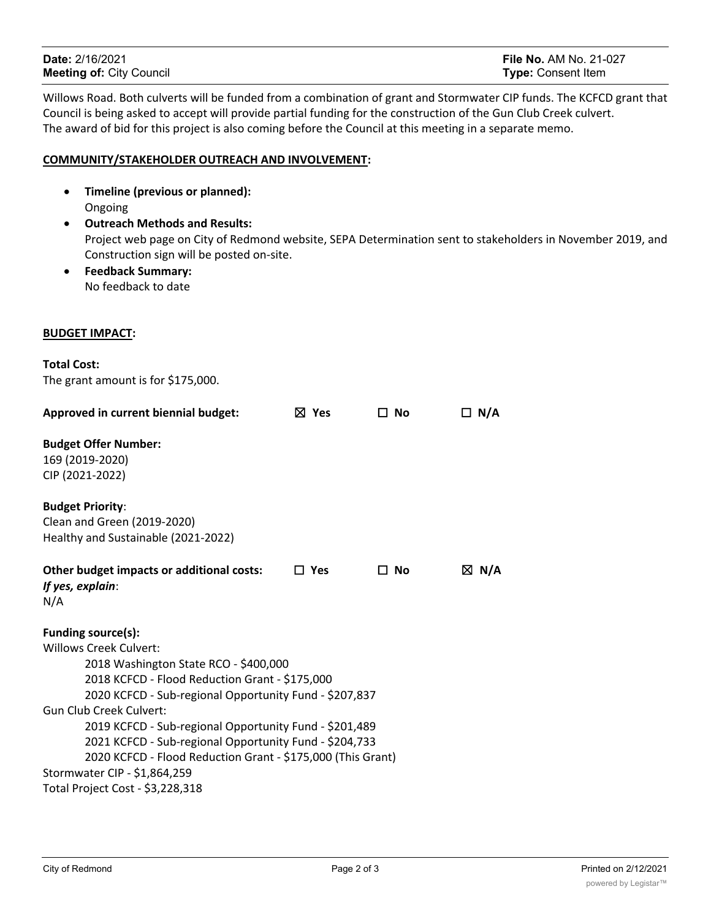| <b>Date: 2/16/2021</b>          | <b>File No. AM No. 21-027</b> |
|---------------------------------|-------------------------------|
| <b>Meeting of: City Council</b> | <b>Type:</b> Consent Item     |

Willows Road. Both culverts will be funded from a combination of grant and Stormwater CIP funds. The KCFCD grant that Council is being asked to accept will provide partial funding for the construction of the Gun Club Creek culvert. The award of bid for this project is also coming before the Council at this meeting in a separate memo.

## **COMMUNITY/STAKEHOLDER OUTREACH AND INVOLVEMENT:**

- · **Timeline (previous or planned):** Ongoing
- · **Outreach Methods and Results:** Project web page on City of Redmond website, SEPA Determination sent to stakeholders in November 2019, and Construction sign will be posted on-site.
- · **Feedback Summary:** No feedback to date

### **BUDGET IMPACT:**

| <b>Total Cost:</b>                             |                                                                                                                  |                 |           |                 |
|------------------------------------------------|------------------------------------------------------------------------------------------------------------------|-----------------|-----------|-----------------|
|                                                | The grant amount is for \$175,000.                                                                               |                 |           |                 |
|                                                | Approved in current biennial budget:                                                                             | $\boxtimes$ Yes | $\Box$ No | $\Box$ N/A      |
| <b>Budget Offer Number:</b>                    |                                                                                                                  |                 |           |                 |
| 169 (2019-2020)                                |                                                                                                                  |                 |           |                 |
| CIP (2021-2022)                                |                                                                                                                  |                 |           |                 |
| <b>Budget Priority:</b>                        |                                                                                                                  |                 |           |                 |
|                                                | Clean and Green (2019-2020)                                                                                      |                 |           |                 |
|                                                | Healthy and Sustainable (2021-2022)                                                                              |                 |           |                 |
| If yes, explain:<br>N/A                        | Other budget impacts or additional costs:                                                                        | $\Box$ Yes      | □ No      | $\boxtimes$ N/A |
| Funding source(s):                             |                                                                                                                  |                 |           |                 |
| <b>Willows Creek Culvert:</b>                  |                                                                                                                  |                 |           |                 |
|                                                | 2018 Washington State RCO - \$400,000                                                                            |                 |           |                 |
| 2018 KCFCD - Flood Reduction Grant - \$175,000 |                                                                                                                  |                 |           |                 |
|                                                | 2020 KCFCD - Sub-regional Opportunity Fund - \$207,837                                                           |                 |           |                 |
| Gun Club Creek Culvert:                        |                                                                                                                  |                 |           |                 |
|                                                | 2019 KCFCD - Sub-regional Opportunity Fund - \$201,489<br>2021 KCFCD - Sub-regional Opportunity Fund - \$204,733 |                 |           |                 |
|                                                | 2020 KCFCD - Flood Reduction Grant - \$175,000 (This Grant)                                                      |                 |           |                 |
|                                                | Stormwater CIP - \$1,864,259                                                                                     |                 |           |                 |
|                                                | Total Project Cost - \$3,228,318                                                                                 |                 |           |                 |
|                                                |                                                                                                                  |                 |           |                 |